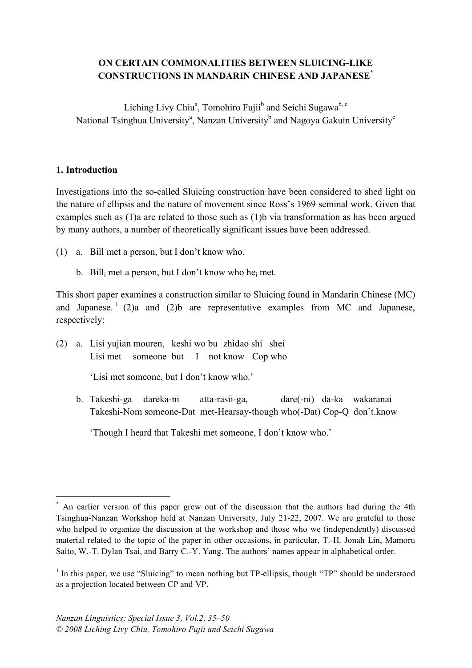## **ON CERTAIN COMMONALITIES BETWEEN SLUICING-LIKE CONSTRUCTIONS IN MANDARIN CHINESE AND JAPANESE\***

Liching Livy Chiu<sup>a</sup>, Tomohiro Fujii<sup>b</sup> and Seichi Sugawa<sup>b, c</sup> National Tsinghua University<sup>a</sup>, Nanzan University<sup>b</sup> and Nagoya Gakuin University<sup>c</sup>

## **1. Introduction**

Investigations into the so-called Sluicing construction have been considered to shed light on the nature of ellipsis and the nature of movement since Ross's 1969 seminal work. Given that examples such as (1)a are related to those such as (1)b via transformation as has been argued by many authors, a number of theoretically significant issues have been addressed.

- (1) a. Bill met a person, but I don't know who.
	- b. Bill<sub>i</sub> met a person, but I don't know who he<sub>i</sub> met.

This short paper examines a construction similar to Sluicing found in Mandarin Chinese (MC) and Japanese.<sup>1</sup> (2)a and (2)b are representative examples from MC and Japanese, respectively:

(2) a. Lisi yujian mouren, keshi wo bu zhidao shi shei Lisi met someone but I not know Cop who

'Lisi met someone, but I don't know who.'

b. Takeshi-ga dareka-ni atta-rasii-ga, dare(-ni) da-ka wakaranai Takeshi-Nom someone-Dat met-Hearsay-though who(-Dat) Cop-Q don't.know

'Though I heard that Takeshi met someone, I don't know who.'

 <sup>\*</sup> An earlier version of this paper grew out of the discussion that the authors had during the 4th Tsinghua-Nanzan Workshop held at Nanzan University, July 21-22, 2007. We are grateful to those who helped to organize the discussion at the workshop and those who we (independently) discussed material related to the topic of the paper in other occasions, in particular, T.-H. Jonah Lin, Mamoru Saito, W.-T. Dylan Tsai, and Barry C.-Y. Yang. The authors' names appear in alphabetical order.

 $1$  In this paper, we use "Sluicing" to mean nothing but TP-ellipsis, though "TP" should be understood as a projection located between CP and VP.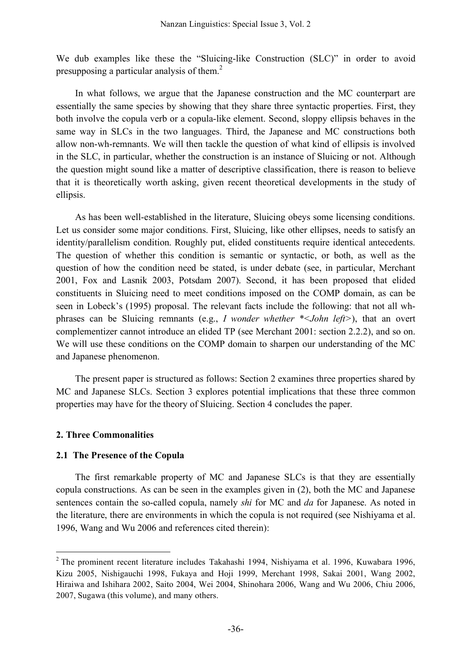We dub examples like these the "Sluicing-like Construction (SLC)" in order to avoid presupposing a particular analysis of them.<sup>2</sup>

In what follows, we argue that the Japanese construction and the MC counterpart are essentially the same species by showing that they share three syntactic properties. First, they both involve the copula verb or a copula-like element. Second, sloppy ellipsis behaves in the same way in SLCs in the two languages. Third, the Japanese and MC constructions both allow non-wh-remnants. We will then tackle the question of what kind of ellipsis is involved in the SLC, in particular, whether the construction is an instance of Sluicing or not. Although the question might sound like a matter of descriptive classification, there is reason to believe that it is theoretically worth asking, given recent theoretical developments in the study of ellipsis.

As has been well-established in the literature, Sluicing obeys some licensing conditions. Let us consider some major conditions. First, Sluicing, like other ellipses, needs to satisfy an identity/parallelism condition. Roughly put, elided constituents require identical antecedents. The question of whether this condition is semantic or syntactic, or both, as well as the question of how the condition need be stated, is under debate (see, in particular, Merchant 2001, Fox and Lasnik 2003, Potsdam 2007). Second, it has been proposed that elided constituents in Sluicing need to meet conditions imposed on the COMP domain, as can be seen in Lobeck's (1995) proposal. The relevant facts include the following: that not all whphrases can be Sluicing remnants (e.g., *I wonder whether \*<John left>*), that an overt complementizer cannot introduce an elided TP (see Merchant 2001: section 2.2.2), and so on. We will use these conditions on the COMP domain to sharpen our understanding of the MC and Japanese phenomenon.

The present paper is structured as follows: Section 2 examines three properties shared by MC and Japanese SLCs. Section 3 explores potential implications that these three common properties may have for the theory of Sluicing. Section 4 concludes the paper.

### **2. Three Commonalities**

### **2.1 The Presence of the Copula**

The first remarkable property of MC and Japanese SLCs is that they are essentially copula constructions. As can be seen in the examples given in (2), both the MC and Japanese sentences contain the so-called copula, namely *shi* for MC and *da* for Japanese. As noted in the literature, there are environments in which the copula is not required (see Nishiyama et al. 1996, Wang and Wu 2006 and references cited therein):

 <sup>2</sup> The prominent recent literature includes Takahashi 1994, Nishiyama et al. 1996, Kuwabara 1996, Kizu 2005, Nishigauchi 1998, Fukaya and Hoji 1999, Merchant 1998, Sakai 2001, Wang 2002, Hiraiwa and Ishihara 2002, Saito 2004, Wei 2004, Shinohara 2006, Wang and Wu 2006, Chiu 2006, 2007, Sugawa (this volume), and many others.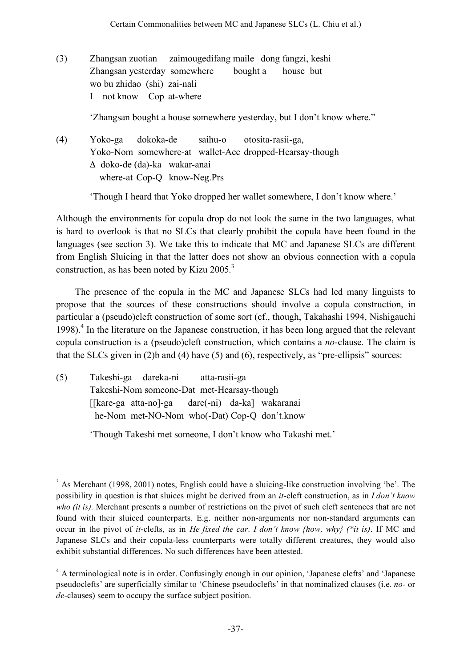(3) Zhangsan zuotian zaimougedifang maile dong fangzi, keshi Zhangsan yesterday somewhere bought a house but wo bu zhidao (shi) zai-nali I not know Cop at-where

'Zhangsan bought a house somewhere yesterday, but I don't know where."

(4) Yoko-ga dokoka-de saihu-o otosita-rasii-ga, Yoko-Nom somewhere-at wallet-Acc dropped-Hearsay-though Δ doko-de (da)-ka wakar-anai where-at Cop-Q know-Neg.Prs

'Though I heard that Yoko dropped her wallet somewhere, I don't know where.'

Although the environments for copula drop do not look the same in the two languages, what is hard to overlook is that no SLCs that clearly prohibit the copula have been found in the languages (see section 3). We take this to indicate that MC and Japanese SLCs are different from English Sluicing in that the latter does not show an obvious connection with a copula construction, as has been noted by Kizu 2005.<sup>3</sup>

The presence of the copula in the MC and Japanese SLCs had led many linguists to propose that the sources of these constructions should involve a copula construction, in particular a (pseudo)cleft construction of some sort (cf., though, Takahashi 1994, Nishigauchi 1998).<sup>4</sup> In the literature on the Japanese construction, it has been long argued that the relevant copula construction is a (pseudo)cleft construction, which contains a *no*-clause. The claim is that the SLCs given in (2)b and (4) have (5) and (6), respectively, as "pre-ellipsis" sources:

| (5) | Takeshi-ga dareka-ni atta-rasii-ga               |  |  |
|-----|--------------------------------------------------|--|--|
|     | Takeshi-Nom someone-Dat met-Hearsay-though       |  |  |
|     | [[kare-ga atta-no]-ga dare(-ni) da-ka] wakaranai |  |  |
|     | he-Nom met-NO-Nom who(-Dat) Cop-Q don't.know     |  |  |
|     |                                                  |  |  |

'Though Takeshi met someone, I don't know who Takashi met.'

 $3$  As Merchant (1998, 2001) notes. English could have a sluicing-like construction involving 'be'. The possibility in question is that sluices might be derived from an *it*-cleft construction, as in *I don't know who (it is).* Merchant presents a number of restrictions on the pivot of such cleft sentences that are not found with their sluiced counterparts. E.g. neither non-arguments nor non-standard arguments can occur in the pivot of *it*-clefts, as in *He fixed the car. I don't know {how, why} (\*it is)*. If MC and Japanese SLCs and their copula-less counterparts were totally different creatures, they would also exhibit substantial differences. No such differences have been attested.

<sup>4</sup> A terminological note is in order. Confusingly enough in our opinion, 'Japanese clefts' and 'Japanese pseudoclefts' are superficially similar to 'Chinese pseudoclefts' in that nominalized clauses (i.e. *no*- or *de*-clauses) seem to occupy the surface subject position.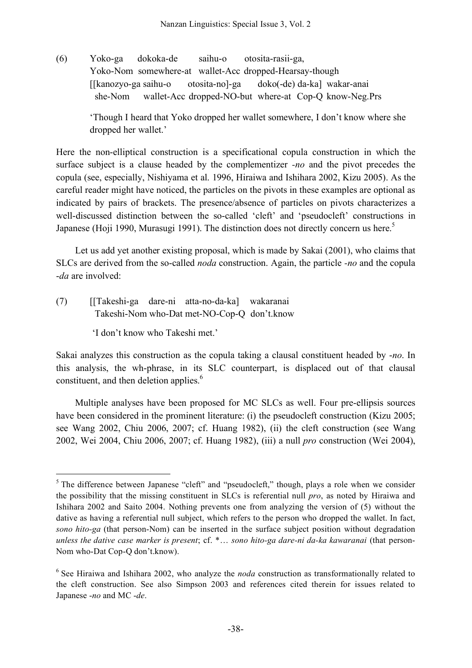(6) Yoko-ga dokoka-de saihu-o otosita-rasii-ga, Yoko-Nom somewhere-at wallet-Acc dropped-Hearsay-though [[kanozyo-ga saihu-o otosita-no]-ga doko(-de) da-ka] wakar-anai she-Nom wallet-Acc dropped-NO-but where-at Cop-Q know-Neg.Prs

> 'Though I heard that Yoko dropped her wallet somewhere, I don't know where she dropped her wallet.'

Here the non-elliptical construction is a specificational copula construction in which the surface subject is a clause headed by the complementizer *-no* and the pivot precedes the copula (see, especially, Nishiyama et al. 1996, Hiraiwa and Ishihara 2002, Kizu 2005). As the careful reader might have noticed, the particles on the pivots in these examples are optional as indicated by pairs of brackets. The presence/absence of particles on pivots characterizes a well-discussed distinction between the so-called 'cleft' and 'pseudocleft' constructions in Japanese (Hoji 1990, Murasugi 1991). The distinction does not directly concern us here.<sup>5</sup>

Let us add yet another existing proposal, which is made by Sakai (2001), who claims that SLCs are derived from the so-called *noda* construction. Again, the particle *-no* and the copula -*da* are involved:

(7) [[Takeshi-ga dare-ni atta-no-da-ka] wakaranai Takeshi-Nom who-Dat met-NO-Cop-Q don't.know

'I don't know who Takeshi met.'

Sakai analyzes this construction as the copula taking a clausal constituent headed by -*no*. In this analysis, the wh-phrase, in its SLC counterpart, is displaced out of that clausal constituent, and then deletion applies.<sup>6</sup>

Multiple analyses have been proposed for MC SLCs as well. Four pre-ellipsis sources have been considered in the prominent literature: (i) the pseudocleft construction (Kizu 2005; see Wang 2002, Chiu 2006, 2007; cf. Huang 1982), (ii) the cleft construction (see Wang 2002, Wei 2004, Chiu 2006, 2007; cf. Huang 1982), (iii) a null *pro* construction (Wei 2004),

 $<sup>5</sup>$  The difference between Japanese "cleft" and "pseudocleft," though, plays a role when we consider</sup> the possibility that the missing constituent in SLCs is referential null *pro*, as noted by Hiraiwa and Ishihara 2002 and Saito 2004. Nothing prevents one from analyzing the version of (5) without the dative as having a referential null subject, which refers to the person who dropped the wallet. In fact, *sono hito-ga* (that person-Nom) can be inserted in the surface subject position without degradation *unless the dative case marker is present*; cf. \*… *sono hito-ga dare-ni da-ka kawaranai* (that person-Nom who-Dat Cop-Q don't.know).

<sup>&</sup>lt;sup>6</sup> See Hiraiwa and Ishihara 2002, who analyze the *noda* construction as transformationally related to the cleft construction. See also Simpson 2003 and references cited therein for issues related to Japanese -*no* and MC -*de*.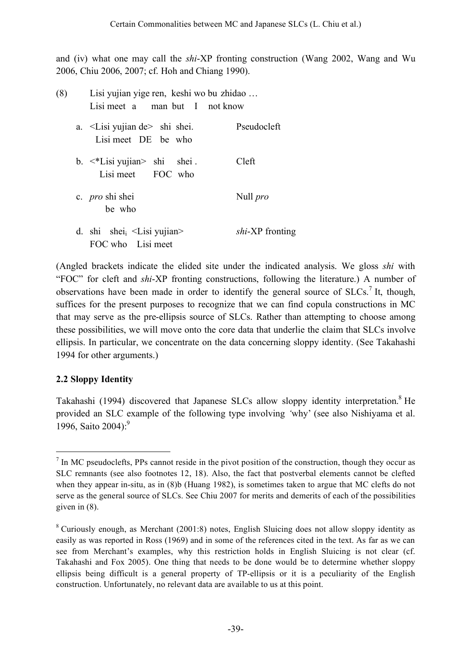and (iv) what one may call the *shi*-XP fronting construction (Wang 2002, Wang and Wu 2006, Chiu 2006, 2007; cf. Hoh and Chiang 1990).

| (8) | Lisi yujian yige ren, keshi wo bu zhidao<br>Lisi meet a man but I not know |                        |  |  |
|-----|----------------------------------------------------------------------------|------------------------|--|--|
|     | a. <lisi de="" yujian=""> shi shei.<br/>Lisi meet DE be who</lisi>         | Pseudocleft            |  |  |
|     | b. $\lt^*$ Lisi yujian > shi shei.<br>Lisi meet FOC who                    | Cleft                  |  |  |
|     | c. <i>pro</i> shi shei<br>be who                                           | Null <i>pro</i>        |  |  |
|     | d. shi shei $_i$ < Lisi yujian ><br>FOC who Lisi meet                      | <i>shi-XP</i> fronting |  |  |

(Angled brackets indicate the elided site under the indicated analysis. We gloss *shi* with "FOC" for cleft and *shi*-XP fronting constructions, following the literature.) A number of observations have been made in order to identify the general source of  $SLCs$ <sup>7</sup> It, though, suffices for the present purposes to recognize that we can find copula constructions in MC that may serve as the pre-ellipsis source of SLCs. Rather than attempting to choose among these possibilities, we will move onto the core data that underlie the claim that SLCs involve ellipsis. In particular, we concentrate on the data concerning sloppy identity. (See Takahashi 1994 for other arguments.)

## **2.2 Sloppy Identity**

Takahashi (1994) discovered that Japanese SLCs allow sloppy identity interpretation.<sup>8</sup> He provided an SLC example of the following type involving *'*why' (see also Nishiyama et al. 1996, Saito 2004): 9

 $<sup>7</sup>$  In MC pseudoclefts. PPs cannot reside in the pivot position of the construction, though they occur as</sup> SLC remnants (see also footnotes 12, 18). Also, the fact that postverbal elements cannot be clefted when they appear in-situ, as in (8)b (Huang 1982), is sometimes taken to argue that MC clefts do not serve as the general source of SLCs. See Chiu 2007 for merits and demerits of each of the possibilities given in (8).

 $8$  Curiously enough, as Merchant (2001:8) notes, English Sluicing does not allow sloppy identity as easily as was reported in Ross (1969) and in some of the references cited in the text. As far as we can see from Merchant's examples, why this restriction holds in English Sluicing is not clear (cf. Takahashi and Fox 2005). One thing that needs to be done would be to determine whether sloppy ellipsis being difficult is a general property of TP-ellipsis or it is a peculiarity of the English construction. Unfortunately, no relevant data are available to us at this point.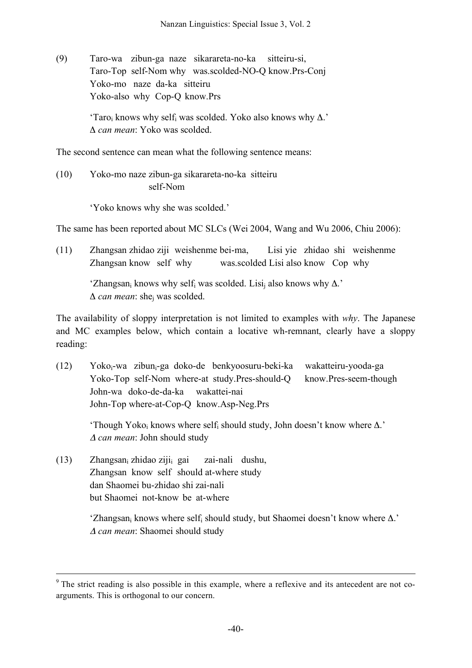(9) Taro-wa zibun-ga naze sikarareta-no-ka sitteiru-si, Taro-Top self-Nom why was.scolded-NO-Q know.Prs-Conj Yoko-mo naze da-ka sitteiru Yoko-also why Cop-Q know.Prs

> 'Taro<sub>i</sub> knows why self<sub>i</sub> was scolded. Yoko also knows why  $\Delta$ .' Δ *can mean*: Yoko was scolded.

The second sentence can mean what the following sentence means:

(10) Yoko-mo naze zibun-ga sikarareta-no-ka sitteiru self-Nom

'Yoko knows why she was scolded.'

The same has been reported about MC SLCs (Wei 2004, Wang and Wu 2006, Chiu 2006):

(11) Zhangsan zhidao ziji weishenme bei-ma, Lisi yie zhidao shi weishenme Zhangsan know self why was.scolded Lisi also know Cop why

> 'Zhangsan<sub>i</sub> knows why self<sub>i</sub> was scolded. Lisi<sub>i</sub> also knows why  $\Delta$ .' Δ *can mean*: shej was scolded.

The availability of sloppy interpretation is not limited to examples with *why*. The Japanese and MC examples below, which contain a locative wh-remnant, clearly have a sloppy reading:

 $(12)$  Yoko<sub>i</sub>-wa zibun<sub>i</sub>-ga doko-de benkyoosuru-beki-ka wakatteiru-yooda-ga Yoko-Top self-Nom where-at study.Pres-should-Q know.Pres-seem-though John-wa doko-de-da-ka wakattei-nai John-Top where-at-Cop-Q know.Asp-Neg.Prs

'Though Yoko<sub>i</sub> knows where self<sub>i</sub> should study, John doesn't know where  $\Delta$ .' <sup>Δ</sup> *can mean*: John should study

(13) Zhangsani zhidao zijii gai zai-nali dushu, Zhangsan know self should at-where study dan Shaomei bu-zhidao shi zai-nali but Shaomei not-know be at-where

> 'Zhangsan<sub>i</sub> knows where self<sub>i</sub> should study, but Shaomei doesn't know where  $\Delta$ .' <sup>Δ</sup> *can mean*: Shaomei should study

 $9<sup>9</sup>$  The strict reading is also possible in this example, where a reflexive and its antecedent are not coarguments. This is orthogonal to our concern.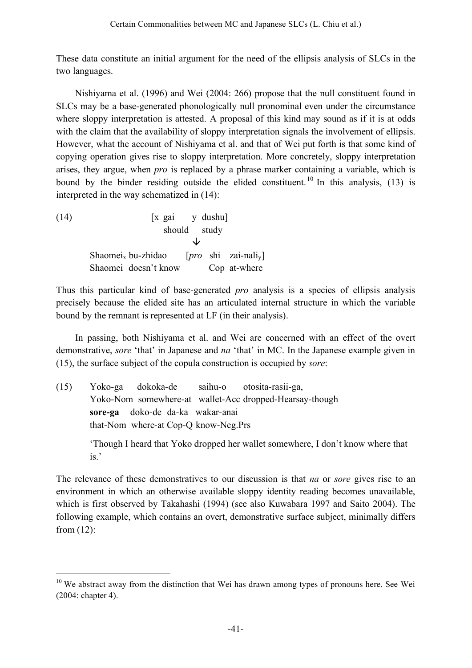These data constitute an initial argument for the need of the ellipsis analysis of SLCs in the two languages.

Nishiyama et al. (1996) and Wei (2004: 266) propose that the null constituent found in SLCs may be a base-generated phonologically null pronominal even under the circumstance where sloppy interpretation is attested. A proposal of this kind may sound as if it is at odds with the claim that the availability of sloppy interpretation signals the involvement of ellipsis. However, what the account of Nishiyama et al. and that of Wei put forth is that some kind of copying operation gives rise to sloppy interpretation. More concretely, sloppy interpretation arises, they argue, when *pro* is replaced by a phrase marker containing a variable, which is bound by the binder residing outside the elided constituent.<sup>10</sup> In this analysis,  $(13)$  is interpreted in the way schematized in (14):

| (14) | [x gai y dushu]                |              |  |                                                       |  |  |
|------|--------------------------------|--------------|--|-------------------------------------------------------|--|--|
|      |                                | should study |  |                                                       |  |  |
|      |                                |              |  |                                                       |  |  |
|      | Shaomei <sub>x</sub> bu-zhidao |              |  | $[pro \; \; \text{shi} \; \; \; \text{zai-nali}_{v}]$ |  |  |
|      | Shaomei doesn't know           |              |  | Cop at-where                                          |  |  |

Thus this particular kind of base-generated *pro* analysis is a species of ellipsis analysis precisely because the elided site has an articulated internal structure in which the variable bound by the remnant is represented at LF (in their analysis).

In passing, both Nishiyama et al. and Wei are concerned with an effect of the overt demonstrative, *sore* 'that' in Japanese and *na* 'that' in MC. In the Japanese example given in (15), the surface subject of the copula construction is occupied by *sore*:

(15) Yoko-ga dokoka-de saihu-o otosita-rasii-ga, Yoko-Nom somewhere-at wallet-Acc dropped-Hearsay-though **sore-ga** doko-de da-ka wakar-anai that-Nom where-at Cop-Q know-Neg.Prs 'Though I heard that Yoko dropped her wallet somewhere, I don't know where that is.'

The relevance of these demonstratives to our discussion is that *na* or *sore* gives rise to an environment in which an otherwise available sloppy identity reading becomes unavailable, which is first observed by Takahashi (1994) (see also Kuwabara 1997 and Saito 2004). The following example, which contains an overt, demonstrative surface subject, minimally differs from (12):

 $10$  We abstract away from the distinction that Wei has drawn among types of pronouns here. See Wei (2004: chapter 4).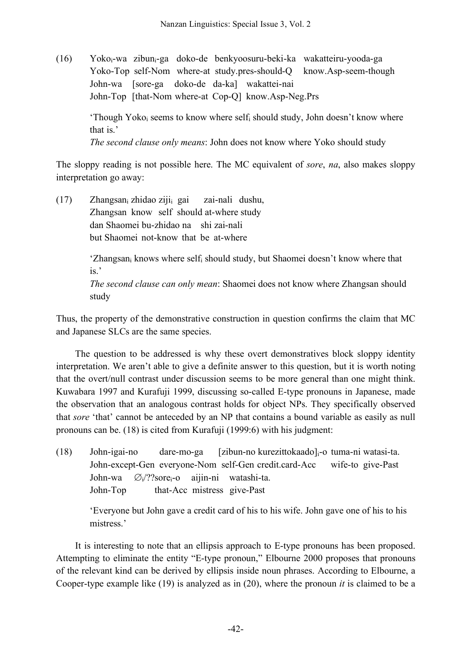(16) Yokoi-wa zibuni-ga doko-de benkyoosuru-beki-ka wakatteiru-yooda-ga Yoko-Top self-Nom where-at study.pres-should-Q know.Asp-seem-though John-wa [sore-ga doko-de da-ka] wakattei-nai John-Top [that-Nom where-at Cop-Q] know.Asp-Neg.Prs

> 'Though Yoko<sub>i</sub> seems to know where self<sub>i</sub> should study, John doesn't know where that is.'

*The second clause only means*: John does not know where Yoko should study

The sloppy reading is not possible here. The MC equivalent of *sore*, *na*, also makes sloppy interpretation go away:

(17) Zhangsani zhidao zijii gai zai-nali dushu, Zhangsan know self should at-where study dan Shaomei bu-zhidao na shi zai-nali but Shaomei not-know that be at-where

> 'Zhangsan<sub>i</sub> knows where self<sub>i</sub> should study, but Shaomei doesn't know where that is.'

*The second clause can only mean*: Shaomei does not know where Zhangsan should study

Thus, the property of the demonstrative construction in question confirms the claim that MC and Japanese SLCs are the same species.

The question to be addressed is why these overt demonstratives block sloppy identity interpretation. We aren't able to give a definite answer to this question, but it is worth noting that the overt/null contrast under discussion seems to be more general than one might think. Kuwabara 1997 and Kurafuji 1999, discussing so-called E-type pronouns in Japanese, made the observation that an analogous contrast holds for object NPs. They specifically observed that *sore* 'that' cannot be anteceded by an NP that contains a bound variable as easily as null pronouns can be. (18) is cited from Kurafuji (1999:6) with his judgment:

(18) John-igai-no dare-mo-ga [zibun-no kurezittokaado]<sub>i</sub>-o tuma-ni watasi-ta. John-except-Gen everyone-Nom self-Gen credit.card-Acc wife-to give-Past John-wa  $\varnothing_i$ ??sore<sub>i</sub>-o aijin-ni watashi-ta. John-Top that-Acc mistress give-Past

'Everyone but John gave a credit card of his to his wife. John gave one of his to his mistress.'

It is interesting to note that an ellipsis approach to E-type pronouns has been proposed. Attempting to eliminate the entity "E-type pronoun," Elbourne 2000 proposes that pronouns of the relevant kind can be derived by ellipsis inside noun phrases. According to Elbourne, a Cooper-type example like (19) is analyzed as in (20), where the pronoun *it* is claimed to be a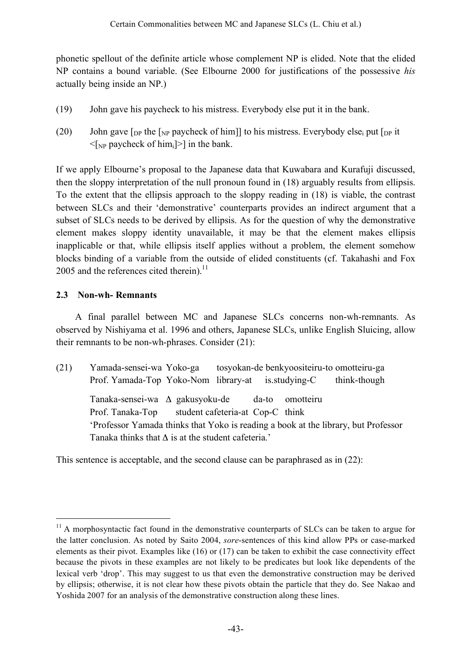phonetic spellout of the definite article whose complement NP is elided. Note that the elided NP contains a bound variable. (See Elbourne 2000 for justifications of the possessive *his* actually being inside an NP.)

- (19) John gave his paycheck to his mistress. Everybody else put it in the bank.
- (20) John gave  $\lceil_{DP}$  the  $\lceil_{NP}$  paycheck of him]] to his mistress. Everybody else<sub>i</sub> put  $\lceil_{DP}$  it  $\leq$ [NP paycheck of him<sub>i</sub>]>] in the bank.

If we apply Elbourne's proposal to the Japanese data that Kuwabara and Kurafuji discussed, then the sloppy interpretation of the null pronoun found in (18) arguably results from ellipsis. To the extent that the ellipsis approach to the sloppy reading in (18) is viable, the contrast between SLCs and their 'demonstrative' counterparts provides an indirect argument that a subset of SLCs needs to be derived by ellipsis. As for the question of why the demonstrative element makes sloppy identity unavailable, it may be that the element makes ellipsis inapplicable or that, while ellipsis itself applies without a problem, the element somehow blocks binding of a variable from the outside of elided constituents (cf. Takahashi and Fox 2005 and the references cited therein).<sup>11</sup>

# **2.3 Non-wh- Remnants**

A final parallel between MC and Japanese SLCs concerns non-wh-remnants. As observed by Nishiyama et al. 1996 and others, Japanese SLCs, unlike English Sluicing, allow their remnants to be non-wh-phrases. Consider (21):

(21) Yamada-sensei-wa Yoko-ga tosyokan-de benkyoositeiru-to omotteiru-ga Prof. Yamada-Top Yoko-Nom library-at is.studying-C think-though Tanaka-sensei-wa Δ gakusyoku-de da-to omotteiru Prof. Tanaka-Top student cafeteria-at Cop-C think 'Professor Yamada thinks that Yoko is reading a book at the library, but Professor Tanaka thinks that  $\Delta$  is at the student cafeteria.'

This sentence is acceptable, and the second clause can be paraphrased as in (22):

<sup>&</sup>lt;sup>11</sup> A morphosyntactic fact found in the demonstrative counterparts of SLCs can be taken to argue for the latter conclusion. As noted by Saito 2004, *sore*-sentences of this kind allow PPs or case-marked elements as their pivot. Examples like (16) or (17) can be taken to exhibit the case connectivity effect because the pivots in these examples are not likely to be predicates but look like dependents of the lexical verb 'drop'. This may suggest to us that even the demonstrative construction may be derived by ellipsis; otherwise, it is not clear how these pivots obtain the particle that they do. See Nakao and Yoshida 2007 for an analysis of the demonstrative construction along these lines.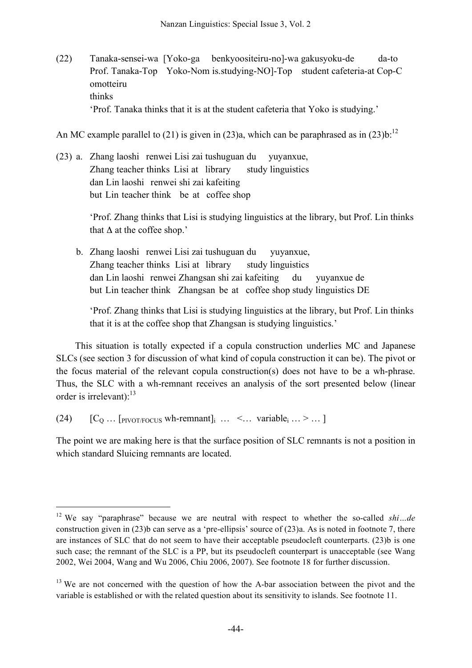(22) Tanaka-sensei-wa [Yoko-ga benkyoositeiru-no]-wa gakusyoku-de da-to Prof. Tanaka-Top Yoko-Nom is.studying-NO]-Top student cafeteria-at Cop-C omotteiru thinks 'Prof. Tanaka thinks that it is at the student cafeteria that Yoko is studying.'

An MC example parallel to (21) is given in (23)a, which can be paraphrased as in (23)b:<sup>12</sup>

(23) a. Zhang laoshi renwei Lisi zai tushuguan du yuyanxue, Zhang teacher thinks Lisi at library study linguistics dan Lin laoshi renwei shi zai kafeiting but Lin teacher think be at coffee shop

> 'Prof. Zhang thinks that Lisi is studying linguistics at the library, but Prof. Lin thinks that  $\Delta$  at the coffee shop.'

b. Zhang laoshi renwei Lisi zai tushuguan du yuyanxue, Zhang teacher thinks Lisi at library study linguistics dan Lin laoshi renwei Zhangsan shi zai kafeiting du yuyanxue de but Lin teacher think Zhangsan be at coffee shop study linguistics DE

'Prof. Zhang thinks that Lisi is studying linguistics at the library, but Prof. Lin thinks that it is at the coffee shop that Zhangsan is studying linguistics.'

This situation is totally expected if a copula construction underlies MC and Japanese SLCs (see section 3 for discussion of what kind of copula construction it can be). The pivot or the focus material of the relevant copula construction(s) does not have to be a wh-phrase. Thus, the SLC with a wh-remnant receives an analysis of the sort presented below (linear order is irrelevant):<sup>13</sup>

(24)  $[C_0 \dots$  [PIVOT/FOCUS wh-remnant] $\ldots$  <... variable<sub>i</sub> ... > ... ]

The point we are making here is that the surface position of SLC remnants is not a position in which standard Sluicing remnants are located.

 <sup>12</sup> We say "paraphrase" because we are neutral with respect to whether the so-called *shi…de* construction given in (23)b can serve as a 'pre-ellipsis' source of (23)a. As is noted in footnote 7, there are instances of SLC that do not seem to have their acceptable pseudocleft counterparts. (23)b is one such case; the remnant of the SLC is a PP, but its pseudocleft counterpart is unacceptable (see Wang 2002, Wei 2004, Wang and Wu 2006, Chiu 2006, 2007). See footnote 18 for further discussion.

 $13$  We are not concerned with the question of how the A-bar association between the pivot and the variable is established or with the related question about its sensitivity to islands. See footnote 11.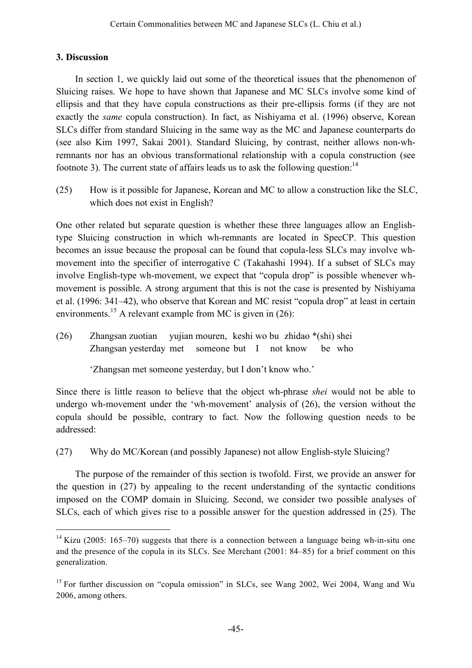### **3. Discussion**

In section 1, we quickly laid out some of the theoretical issues that the phenomenon of Sluicing raises. We hope to have shown that Japanese and MC SLCs involve some kind of ellipsis and that they have copula constructions as their pre-ellipsis forms (if they are not exactly the *same* copula construction). In fact, as Nishiyama et al. (1996) observe, Korean SLCs differ from standard Sluicing in the same way as the MC and Japanese counterparts do (see also Kim 1997, Sakai 2001). Standard Sluicing, by contrast, neither allows non-whremnants nor has an obvious transformational relationship with a copula construction (see footnote 3). The current state of affairs leads us to ask the following question: $^{14}$ 

(25) How is it possible for Japanese, Korean and MC to allow a construction like the SLC, which does not exist in English?

One other related but separate question is whether these three languages allow an Englishtype Sluicing construction in which wh-remnants are located in SpecCP. This question becomes an issue because the proposal can be found that copula-less SLCs may involve whmovement into the specifier of interrogative C (Takahashi 1994). If a subset of SLCs may involve English-type wh-movement, we expect that "copula drop" is possible whenever whmovement is possible. A strong argument that this is not the case is presented by Nishiyama et al. (1996: 341–42), who observe that Korean and MC resist "copula drop" at least in certain environments.<sup>15</sup> A relevant example from MC is given in (26):

(26) Zhangsan zuotian yujian mouren, keshi wo bu zhidao \*(shi) shei Zhangsan yesterday met someone but I not know be who

'Zhangsan met someone yesterday, but I don't know who.'

Since there is little reason to believe that the object wh-phrase *shei* would not be able to undergo wh-movement under the 'wh-movement' analysis of (26), the version without the copula should be possible, contrary to fact. Now the following question needs to be addressed:

(27) Why do MC/Korean (and possibly Japanese) not allow English-style Sluicing?

The purpose of the remainder of this section is twofold. First, we provide an answer for the question in (27) by appealing to the recent understanding of the syntactic conditions imposed on the COMP domain in Sluicing. Second, we consider two possible analyses of SLCs, each of which gives rise to a possible answer for the question addressed in (25). The

 $14$  Kizu (2005: 165–70) suggests that there is a connection between a language being wh-in-situ one and the presence of the copula in its SLCs. See Merchant (2001: 84–85) for a brief comment on this generalization.

<sup>&</sup>lt;sup>15</sup> For further discussion on "copula omission" in SLCs, see Wang 2002, Wei 2004, Wang and Wu 2006, among others.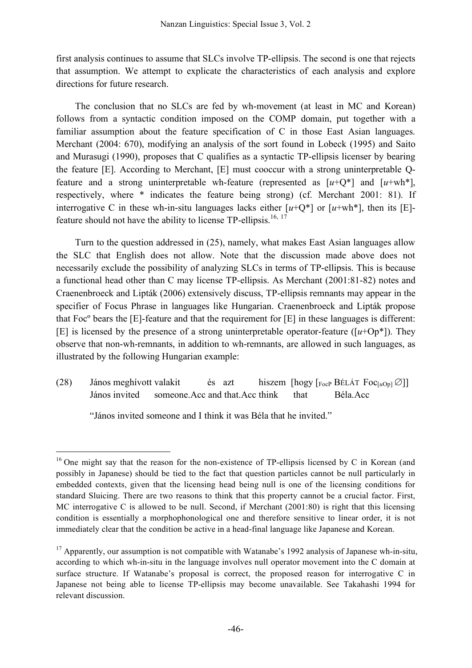first analysis continues to assume that SLCs involve TP-ellipsis. The second is one that rejects that assumption. We attempt to explicate the characteristics of each analysis and explore directions for future research.

The conclusion that no SLCs are fed by wh-movement (at least in MC and Korean) follows from a syntactic condition imposed on the COMP domain, put together with a familiar assumption about the feature specification of C in those East Asian languages. Merchant (2004: 670), modifying an analysis of the sort found in Lobeck (1995) and Saito and Murasugi (1990), proposes that C qualifies as a syntactic TP-ellipsis licenser by bearing the feature [E]. According to Merchant, [E] must cooccur with a strong uninterpretable Qfeature and a strong uninterpretable wh-feature (represented as  $[u+Q^*]$  and  $[u+wh^*]$ , respectively, where \* indicates the feature being strong) (cf. Merchant 2001: 81). If interrogative C in these wh-in-situ languages lacks either  $[u+O^*]$  or  $[u+wh^*]$ , then its [E]feature should not have the ability to license  $TP$ -ellipsis.<sup>16, 17</sup>

Turn to the question addressed in (25), namely, what makes East Asian languages allow the SLC that English does not allow. Note that the discussion made above does not necessarily exclude the possibility of analyzing SLCs in terms of TP-ellipsis. This is because a functional head other than C may license TP-ellipsis. As Merchant (2001:81-82) notes and Craenenbroeck and Lipták (2006) extensively discuss, TP-ellipsis remnants may appear in the specifier of Focus Phrase in languages like Hungarian. Craenenbroeck and Lipták propose that Focº bears the [E]-feature and that the requirement for [E] in these languages is different: [E] is licensed by the presence of a strong uninterpretable operator-feature  $([u+Op^*])$ . They observe that non-wh-remnants, in addition to wh-remnants, are allowed in such languages, as illustrated by the following Hungarian example:

(28) János meghívott valakit és azt hiszem [hogy [FocP BÉLÁT Foc[*u*Op] ∅]] János invited someone.Acc and that.Acc think that Béla.Acc

"János invited someone and I think it was Béla that he invited."

 $16$  One might say that the reason for the non-existence of TP-ellipsis licensed by C in Korean (and possibly in Japanese) should be tied to the fact that question particles cannot be null particularly in embedded contexts, given that the licensing head being null is one of the licensing conditions for standard Sluicing. There are two reasons to think that this property cannot be a crucial factor. First, MC interrogative C is allowed to be null. Second, if Merchant (2001:80) is right that this licensing condition is essentially a morphophonological one and therefore sensitive to linear order, it is not immediately clear that the condition be active in a head-final language like Japanese and Korean.

 $17$  Apparently, our assumption is not compatible with Watanabe's 1992 analysis of Japanese wh-in-situ, according to which wh-in-situ in the language involves null operator movement into the C domain at surface structure. If Watanabe's proposal is correct, the proposed reason for interrogative C in Japanese not being able to license TP-ellipsis may become unavailable. See Takahashi 1994 for relevant discussion.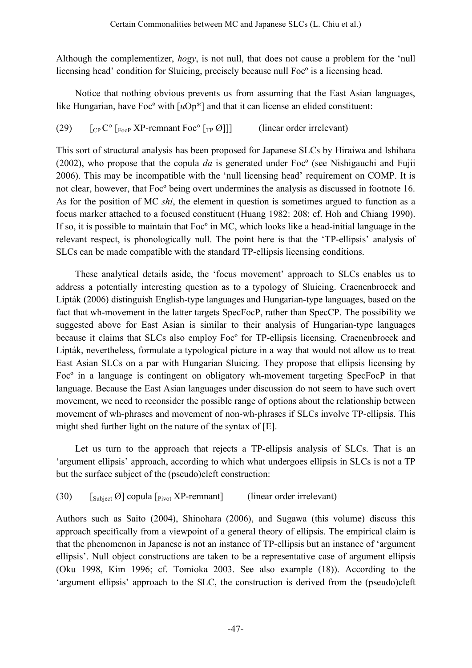Although the complementizer, *hogy*, is not null, that does not cause a problem for the 'null licensing head' condition for Sluicing, precisely because null Focº is a licensing head.

Notice that nothing obvious prevents us from assuming that the East Asian languages, like Hungarian, have Foc<sup>o</sup> with [ $uOp^*$ ] and that it can license an elided constituent:

(29)  $\left[ C \right]$   $\left[ C \right]$   $\left[ C \right]$   $\left[ C \right]$   $\left[ C \right]$   $\left[ C \right]$   $\left[ C \right]$   $\left[ C \right]$   $\left[ C \right]$   $\left[ C \right]$   $\left[ C \right]$   $\left[ C \right]$   $\left[ C \right]$   $\left[ C \right]$   $\left[ C \right]$   $\left[ C \right]$   $\left[ C \right]$   $\left[ C \right]$   $\left[ C \right]$   $\left[ C \right]$   $\left[ C \right]$   $\left[ C \$ 

This sort of structural analysis has been proposed for Japanese SLCs by Hiraiwa and Ishihara (2002), who propose that the copula *da* is generated under Focº (see Nishigauchi and Fujii 2006). This may be incompatible with the 'null licensing head' requirement on COMP. It is not clear, however, that Focº being overt undermines the analysis as discussed in footnote 16. As for the position of MC *shi*, the element in question is sometimes argued to function as a focus marker attached to a focused constituent (Huang 1982: 208; cf. Hoh and Chiang 1990). If so, it is possible to maintain that Focº in MC, which looks like a head-initial language in the relevant respect, is phonologically null. The point here is that the 'TP-ellipsis' analysis of SLCs can be made compatible with the standard TP-ellipsis licensing conditions.

These analytical details aside, the 'focus movement' approach to SLCs enables us to address a potentially interesting question as to a typology of Sluicing. Craenenbroeck and Lipták (2006) distinguish English-type languages and Hungarian-type languages, based on the fact that wh-movement in the latter targets SpecFocP, rather than SpecCP. The possibility we suggested above for East Asian is similar to their analysis of Hungarian-type languages because it claims that SLCs also employ Focº for TP-ellipsis licensing. Craenenbroeck and Lipták, nevertheless, formulate a typological picture in a way that would not allow us to treat East Asian SLCs on a par with Hungarian Sluicing. They propose that ellipsis licensing by Focº in a language is contingent on obligatory wh-movement targeting SpecFocP in that language. Because the East Asian languages under discussion do not seem to have such overt movement, we need to reconsider the possible range of options about the relationship between movement of wh-phrases and movement of non-wh-phrases if SLCs involve TP-ellipsis. This might shed further light on the nature of the syntax of [E].

Let us turn to the approach that rejects a TP-ellipsis analysis of SLCs. That is an 'argument ellipsis' approach, according to which what undergoes ellipsis in SLCs is not a TP but the surface subject of the (pseudo)cleft construction:

(30)  $\left[\begin{array}{cc} \n\text{Subject} \n\end{array}\right]$  copula  $\left[\begin{array}{cc} \n\text{Pivot} \n\end{array}\right]$  Fremnant  $\left[\begin{array}{cc} \n\text{linear order irrelevant} \n\end{array}\right]$ 

Authors such as Saito (2004), Shinohara (2006), and Sugawa (this volume) discuss this approach specifically from a viewpoint of a general theory of ellipsis. The empirical claim is that the phenomenon in Japanese is not an instance of TP-ellipsis but an instance of 'argument ellipsis'. Null object constructions are taken to be a representative case of argument ellipsis (Oku 1998, Kim 1996; cf. Tomioka 2003. See also example (18)). According to the 'argument ellipsis' approach to the SLC, the construction is derived from the (pseudo)cleft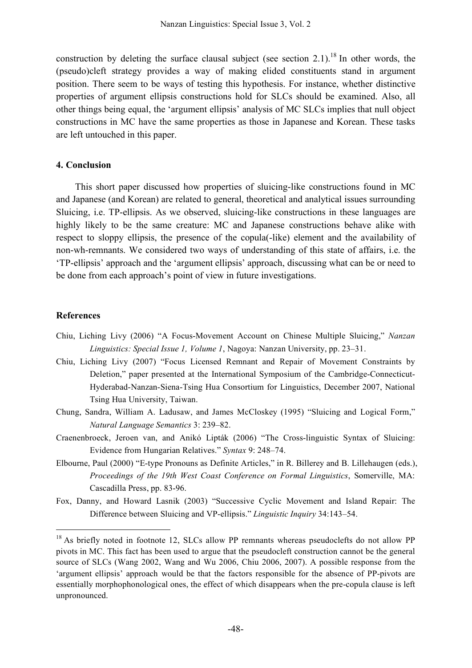construction by deleting the surface clausal subject (see section 2.1).<sup>18</sup> In other words, the (pseudo)cleft strategy provides a way of making elided constituents stand in argument position. There seem to be ways of testing this hypothesis. For instance, whether distinctive properties of argument ellipsis constructions hold for SLCs should be examined. Also, all other things being equal, the 'argument ellipsis' analysis of MC SLCs implies that null object constructions in MC have the same properties as those in Japanese and Korean. These tasks are left untouched in this paper.

#### **4. Conclusion**

This short paper discussed how properties of sluicing-like constructions found in MC and Japanese (and Korean) are related to general, theoretical and analytical issues surrounding Sluicing, i.e. TP-ellipsis. As we observed, sluicing-like constructions in these languages are highly likely to be the same creature: MC and Japanese constructions behave alike with respect to sloppy ellipsis, the presence of the copula(-like) element and the availability of non-wh-remnants. We considered two ways of understanding of this state of affairs, i.e. the 'TP-ellipsis' approach and the 'argument ellipsis' approach, discussing what can be or need to be done from each approach's point of view in future investigations.

#### **References**

- Chiu, Liching Livy (2006) "A Focus-Movement Account on Chinese Multiple Sluicing," *Nanzan Linguistics: Special Issue 1, Volume 1*, Nagoya: Nanzan University, pp. 23–31.
- Chiu, Liching Livy (2007) "Focus Licensed Remnant and Repair of Movement Constraints by Deletion," paper presented at the International Symposium of the Cambridge-Connecticut-Hyderabad-Nanzan-Siena-Tsing Hua Consortium for Linguistics, December 2007, National Tsing Hua University, Taiwan.
- Chung, Sandra, William A. Ladusaw, and James McCloskey (1995) "Sluicing and Logical Form," *Natural Language Semantics* 3: 239–82.
- Craenenbroeck, Jeroen van, and Anikó Lipták (2006) "The Cross-linguistic Syntax of Sluicing: Evidence from Hungarian Relatives." *Syntax* 9: 248–74.
- Elbourne, Paul (2000) "E-type Pronouns as Definite Articles," in R. Billerey and B. Lillehaugen (eds.), *Proceedings of the 19th West Coast Conference on Formal Linguistics*, Somerville, MA: Cascadilla Press, pp. 83-96.
- Fox, Danny, and Howard Lasnik (2003) "Successive Cyclic Movement and Island Repair: The Difference between Sluicing and VP-ellipsis." *Linguistic Inquiry* 34:143–54.

<sup>&</sup>lt;sup>18</sup> As briefly noted in footnote 12, SLCs allow PP remnants whereas pseudoclefts do not allow PP pivots in MC. This fact has been used to argue that the pseudocleft construction cannot be the general source of SLCs (Wang 2002, Wang and Wu 2006, Chiu 2006, 2007). A possible response from the 'argument ellipsis' approach would be that the factors responsible for the absence of PP-pivots are essentially morphophonological ones, the effect of which disappears when the pre-copula clause is left unpronounced.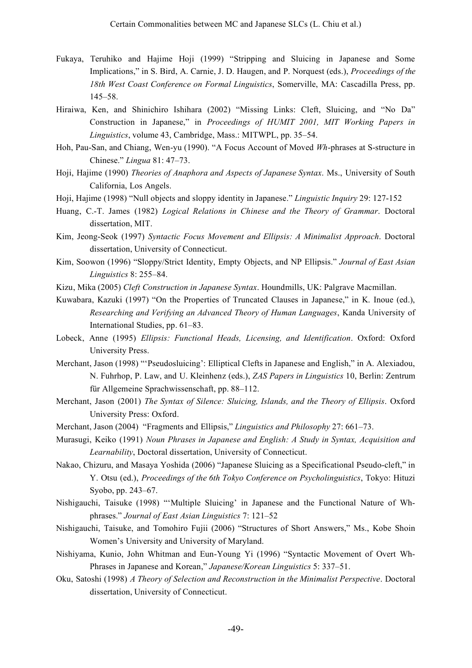- Fukaya, Teruhiko and Hajime Hoji (1999) "Stripping and Sluicing in Japanese and Some Implications," in S. Bird, A. Carnie, J. D. Haugen, and P. Norquest (eds.), *Proceedings of the 18th West Coast Conference on Formal Linguistics*, Somerville, MA: Cascadilla Press, pp. 145–58.
- Hiraiwa, Ken, and Shinichiro Ishihara (2002) "Missing Links: Cleft, Sluicing, and "No Da" Construction in Japanese," in *Proceedings of HUMIT 2001, MIT Working Papers in Linguistics*, volume 43, Cambridge, Mass.: MITWPL, pp. 35–54.
- Hoh, Pau-San, and Chiang, Wen-yu (1990). "A Focus Account of Moved *Wh*-phrases at S-structure in Chinese." *Lingua* 81: 47–73.
- Hoji, Hajime (1990) *Theories of Anaphora and Aspects of Japanese Syntax*. Ms., University of South California, Los Angels.
- Hoji, Hajime (1998) "Null objects and sloppy identity in Japanese." *Linguistic Inquiry* 29: 127-152
- Huang, C.-T. James (1982) *Logical Relations in Chinese and the Theory of Grammar*. Doctoral dissertation, MIT.
- Kim, Jeong-Seok (1997) *Syntactic Focus Movement and Ellipsis: A Minimalist Approach*. Doctoral dissertation, University of Connecticut.
- Kim, Soowon (1996) "Sloppy/Strict Identity, Empty Objects, and NP Ellipsis." *Journal of East Asian Linguistics* 8: 255–84.
- Kizu, Mika (2005) *Cleft Construction in Japanese Syntax*. Houndmills, UK: Palgrave Macmillan.
- Kuwabara, Kazuki (1997) "On the Properties of Truncated Clauses in Japanese," in K. Inoue (ed.), *Researching and Verifying an Advanced Theory of Human Languages*, Kanda University of International Studies, pp. 61–83.
- Lobeck, Anne (1995) *Ellipsis: Functional Heads, Licensing, and Identification*. Oxford: Oxford University Press.
- Merchant, Jason (1998) "'Pseudosluicing': Elliptical Clefts in Japanese and English," in A. Alexiadou, N. Fuhrhop, P. Law, and U. Kleinhenz (eds.), *ZAS Papers in Linguistics* 10, Berlin: Zentrum für Allgemeine Sprachwissenschaft, pp. 88–112.
- Merchant, Jason (2001) *The Syntax of Silence: Sluicing, Islands, and the Theory of Ellipsis*. Oxford University Press: Oxford.
- Merchant, Jason (2004) "Fragments and Ellipsis," *Linguistics and Philosophy* 27: 661–73.
- Murasugi, Keiko (1991) *Noun Phrases in Japanese and English: A Study in Syntax, Acquisition and Learnability*, Doctoral dissertation, University of Connecticut.
- Nakao, Chizuru, and Masaya Yoshida (2006) "Japanese Sluicing as a Specificational Pseudo-cleft," in Y. Otsu (ed.), *Proceedings of the 6th Tokyo Conference on Psycholinguistics*, Tokyo: Hituzi Syobo, pp. 243–67.
- Nishigauchi, Taisuke (1998) "'Multiple Sluicing' in Japanese and the Functional Nature of Whphrases." *Journal of East Asian Linguistics* 7: 121–52
- Nishigauchi, Taisuke, and Tomohiro Fujii (2006) "Structures of Short Answers," Ms., Kobe Shoin Women's University and University of Maryland.
- Nishiyama, Kunio, John Whitman and Eun-Young Yi (1996) "Syntactic Movement of Overt Wh-Phrases in Japanese and Korean," *Japanese/Korean Linguistics* 5: 337–51.
- Oku, Satoshi (1998) *A Theory of Selection and Reconstruction in the Minimalist Perspective*. Doctoral dissertation, University of Connecticut.